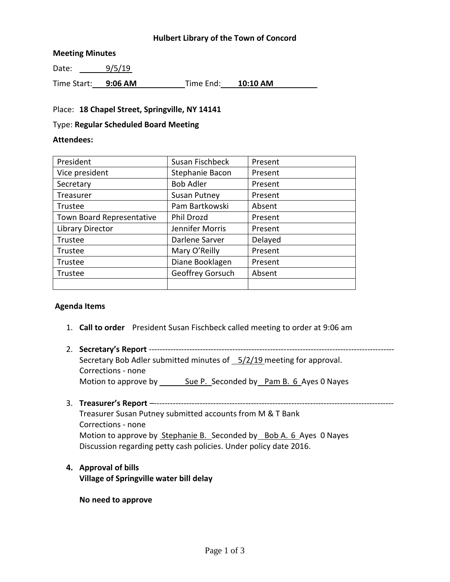#### **Hulbert Library of the Town of Concord**

#### **Meeting Minutes**

Date: 9/5/19

Time Start: **9:06 AM** Time End: **10:10 AM**

### Place: **18 Chapel Street, Springville, NY 14141**

#### Type: **Regular Scheduled Board Meeting**

#### **Attendees:**

| President                 | Susan Fischbeck     | Present |
|---------------------------|---------------------|---------|
| Vice president            | Stephanie Bacon     | Present |
| Secretary                 | <b>Bob Adler</b>    | Present |
| Treasurer                 | <b>Susan Putney</b> | Present |
| Trustee                   | Pam Bartkowski      | Absent  |
| Town Board Representative | Phil Drozd          | Present |
| Library Director          | Jennifer Morris     | Present |
| Trustee                   | Darlene Sarver      | Delayed |
| Trustee                   | Mary O'Reilly       | Present |
| Trustee                   | Diane Booklagen     | Present |
| Trustee                   | Geoffrey Gorsuch    | Absent  |
|                           |                     |         |

### **Agenda Items**

- 1. **Call to order** President Susan Fischbeck called meeting to order at 9:06 am
- 2. **Secretary's Report** ------------------------------------------------------------------------------------------- Secretary Bob Adler submitted minutes of 5/2/19 meeting for approval. Corrections - none Motion to approve by Sue P. Seconded by Pam B. 6 Ayes 0 Nayes
- 3. **Treasurer's Report** –-----------------------------------------------------------------------------------------

Treasurer Susan Putney submitted accounts from M & T Bank Corrections - none Motion to approve by Stephanie B. Seconded by Bob A. 6 Ayes 0 Nayes Discussion regarding petty cash policies. Under policy date 2016.

**4. Approval of bills Village of Springville water bill delay**

**No need to approve**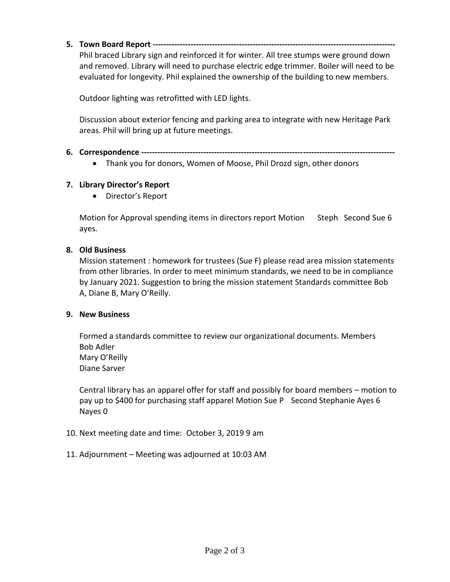**5. Town Board Report ------------------------------------------------------------------------------------------**

Phil braced Library sign and reinforced it for winter. All tree stumps were ground down and removed. Library will need to purchase electric edge trimmer. Boiler will need to be evaluated for longevity. Phil explained the ownership of the building to new members.

Outdoor lighting was retrofitted with LED lights.

Discussion about exterior fencing and parking area to integrate with new Heritage Park areas. Phil will bring up at future meetings.

### **6. Correspondence ----------------------------------------------------------------------------------------------**

Thank you for donors, Women of Moose, Phil Drozd sign, other donors

# **7. Library Director's Report**

• Director's Report

Motion for Approval spending items in directors report Motion Steph Second Sue 6 ayes.

## **8. Old Business**

Mission statement : homework for trustees (Sue F) please read area mission statements from other libraries. In order to meet minimum standards, we need to be in compliance by January 2021. Suggestion to bring the mission statement Standards committee Bob A, Diane B, Mary O'Reilly.

### **9. New Business**

Formed a standards committee to review our organizational documents. Members Bob Adler Mary O'Reilly Diane Sarver

Central library has an apparel offer for staff and possibly for board members – motion to pay up to \$400 for purchasing staff apparel Motion Sue P Second Stephanie Ayes 6 Nayes 0

- 10. Next meeting date and time: October 3, 2019 9 am
- 11. Adjournment Meeting was adjourned at 10:03 AM